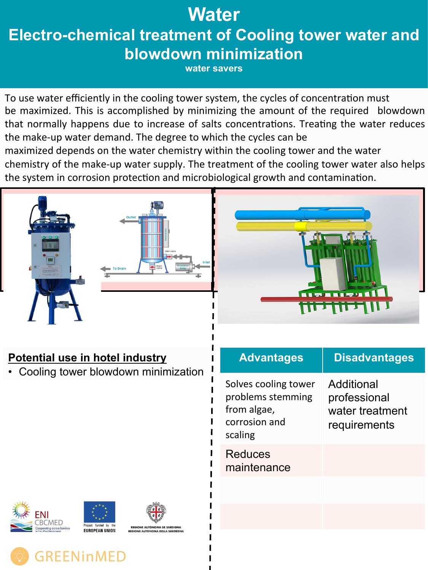## **Water**

# **Electro-chemical treatment of Cooling tower water and blowdown minimization**

**water savers** 

To use water efficiently in the cooling tower system, the cycles of concentration must be maximized. This is accomplished by minimizing the amount of the required blowdown that normally happens due to increase of salts concentrations. Treating the water reduces the make-up water demand. The degree to which the cycles can be maximized depends on the water chemistry within the cooling tower and the water chemistry of the make-up water supply. The treatment of the cooling tower water also helps the system in corrosion protection and microbiological growth and contamination.





### **Potential use in hotel industry**

• Cooling tower blowdown minimization

|        | <b>Advantages</b>                                                                    | <b>Disadvantages</b>                                          |  |  |  |
|--------|--------------------------------------------------------------------------------------|---------------------------------------------------------------|--|--|--|
| ı<br>I | Solves cooling tower<br>problems stemming<br>from algae,<br>corrosion and<br>scaling | Additional<br>professional<br>water treatment<br>requirements |  |  |  |
|        | <b>Reduces</b><br>maintenance                                                        |                                                               |  |  |  |
|        |                                                                                      |                                                               |  |  |  |
|        |                                                                                      |                                                               |  |  |  |